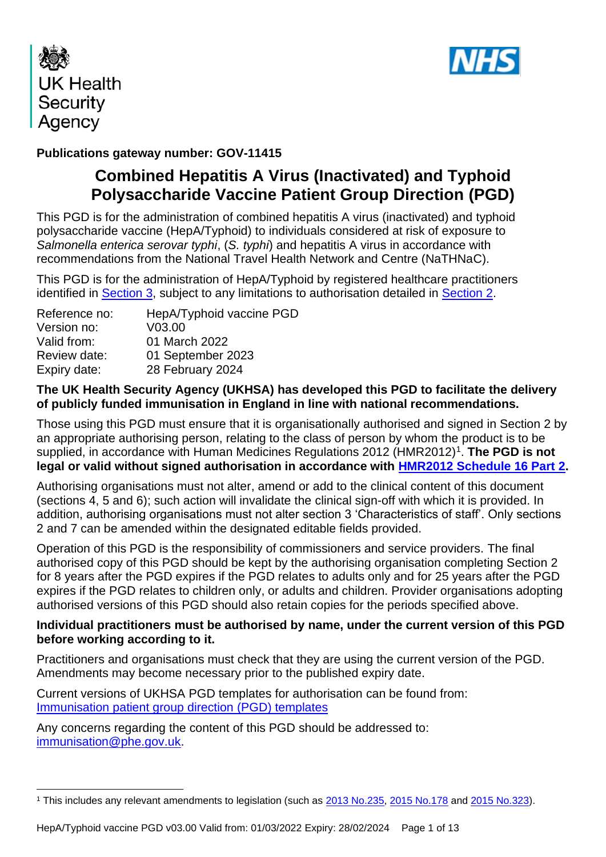



### **Publications gateway number: GOV-11415**

# **Combined Hepatitis A Virus (Inactivated) and Typhoid Polysaccharide Vaccine Patient Group Direction (PGD)**

This PGD is for the administration of combined hepatitis A virus (inactivated) and typhoid polysaccharide vaccine (HepA/Typhoid) to individuals considered at risk of exposure to *Salmonella enterica serovar typhi*, (*S. typhi*) and hepatitis A virus in accordance with recommendations from the National Travel Health Network and Centre (NaTHNaC).

This PGD is for the administration of HepA/Typhoid by registered healthcare practitioners identified in **Section 3**, subject to any limitations to authorisation detailed in **Section 2**.

| HepA/Typhoid vaccine PGD |
|--------------------------|
| V03.00                   |
| 01 March 2022            |
| 01 September 2023        |
| 28 February 2024         |
|                          |

### **The UK Health Security Agency (UKHSA) has developed this PGD to facilitate the delivery of publicly funded immunisation in England in line with national recommendations.**

Those using this PGD must ensure that it is organisationally authorised and signed in Section 2 by an appropriate authorising person, relating to the class of person by whom the product is to be supplied, in accordance with Human Medicines Regulations 2012 (HMR2012)<sup>1</sup>. The PGD is not **legal or valid without signed authorisation in accordance with [HMR2012 Schedule](http://www.legislation.gov.uk/uksi/2012/1916/schedule/16/part/2/made) 16 Part 2.** 

Authorising organisations must not alter, amend or add to the clinical content of this document (sections 4, 5 and 6); such action will invalidate the clinical sign-off with which it is provided. In addition, authorising organisations must not alter section 3 'Characteristics of staff'. Only sections 2 and 7 can be amended within the designated editable fields provided.

Operation of this PGD is the responsibility of commissioners and service providers. The final authorised copy of this PGD should be kept by the authorising organisation completing Section 2 for 8 years after the PGD expires if the PGD relates to adults only and for 25 years after the PGD expires if the PGD relates to children only, or adults and children. Provider organisations adopting authorised versions of this PGD should also retain copies for the periods specified above.

### **Individual practitioners must be authorised by name, under the current version of this PGD before working according to it.**

Practitioners and organisations must check that they are using the current version of the PGD. Amendments may become necessary prior to the published expiry date.

Current versions of UKHSA PGD templates for authorisation can be found from: [Immunisation patient](https://www.gov.uk/government/collections/immunisation-patient-group-direction-pgd) group direction (PGD) templates

Any concerns regarding the content of this PGD should be addressed to: [immunisation@phe.gov.uk.](mailto:immunisation@phe.gov.uk)

<sup>&</sup>lt;sup>1</sup> This includes any relevant amendments to legislation (such as [2013 No.235,](http://www.legislation.gov.uk/uksi/2013/235/contents/made) [2015 No.178](http://www.legislation.gov.uk/nisr/2015/178/contents/made) and [2015 No.323\)](http://www.legislation.gov.uk/uksi/2015/323/contents/made).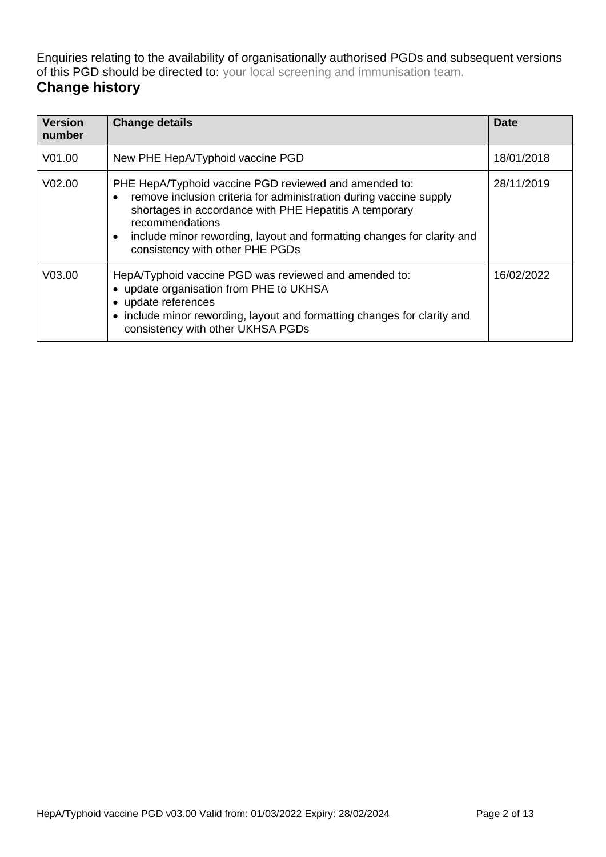Enquiries relating to the availability of organisationally authorised PGDs and subsequent versions of this PGD should be directed to: your local screening and immunisation team.

## **Change history**

| <b>Version</b><br>number | <b>Change details</b>                                                                                                                                                                                                                                                                                                           | <b>Date</b> |
|--------------------------|---------------------------------------------------------------------------------------------------------------------------------------------------------------------------------------------------------------------------------------------------------------------------------------------------------------------------------|-------------|
| V <sub>01.00</sub>       | New PHE HepA/Typhoid vaccine PGD                                                                                                                                                                                                                                                                                                | 18/01/2018  |
| V <sub>02.00</sub>       | PHE HepA/Typhoid vaccine PGD reviewed and amended to:<br>remove inclusion criteria for administration during vaccine supply<br>٠<br>shortages in accordance with PHE Hepatitis A temporary<br>recommendations<br>include minor rewording, layout and formatting changes for clarity and<br>٠<br>consistency with other PHE PGDs | 28/11/2019  |
| V <sub>03.00</sub>       | HepA/Typhoid vaccine PGD was reviewed and amended to:<br>• update organisation from PHE to UKHSA<br>• update references<br>• include minor rewording, layout and formatting changes for clarity and<br>consistency with other UKHSA PGDs                                                                                        | 16/02/2022  |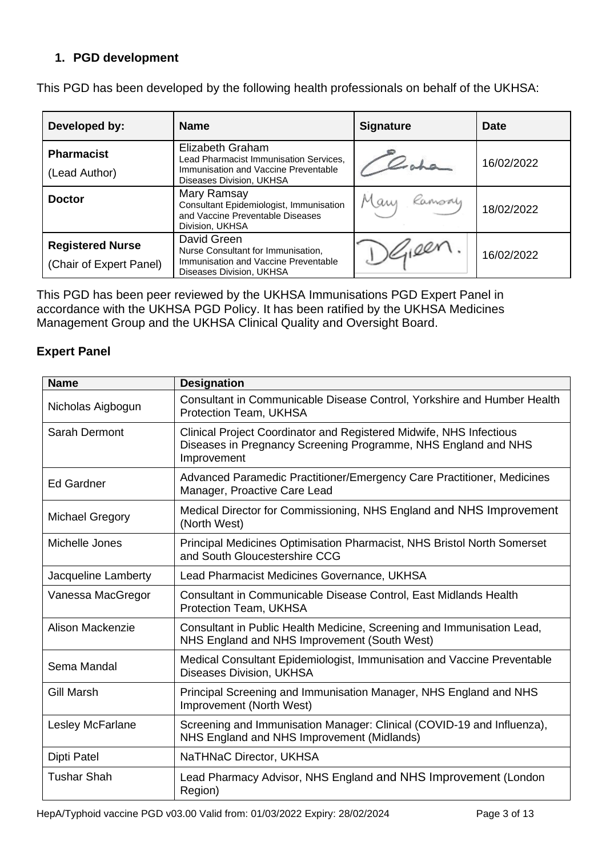### **1. PGD development**

| Developed by:                                      | <b>Name</b>                                                                                                                           | <b>Signature</b> | <b>Date</b> |
|----------------------------------------------------|---------------------------------------------------------------------------------------------------------------------------------------|------------------|-------------|
| <b>Pharmacist</b><br>(Lead Author)                 | <b>Elizabeth Graham</b><br>Lead Pharmacist Immunisation Services,<br>Immunisation and Vaccine Preventable<br>Diseases Division, UKHSA |                  | 16/02/2022  |
| <b>Doctor</b>                                      | Mary Ramsay<br>Consultant Epidemiologist, Immunisation<br>and Vaccine Preventable Diseases<br>Division, UKHSA                         | Mary Ramsoy      | 18/02/2022  |
| <b>Registered Nurse</b><br>(Chair of Expert Panel) | David Green<br>Nurse Consultant for Immunisation,<br>Immunisation and Vaccine Preventable<br>Diseases Division, UKHSA                 | $1)$ Gieen       | 16/02/2022  |

This PGD has been developed by the following health professionals on behalf of the UKHSA:

This PGD has been peer reviewed by the UKHSA Immunisations PGD Expert Panel in accordance with the UKHSA PGD Policy. It has been ratified by the UKHSA Medicines Management Group and the UKHSA Clinical Quality and Oversight Board.

### **Expert Panel**

| <b>Name</b>            | <b>Designation</b>                                                                                                                                   |
|------------------------|------------------------------------------------------------------------------------------------------------------------------------------------------|
| Nicholas Aigbogun      | Consultant in Communicable Disease Control, Yorkshire and Humber Health<br>Protection Team, UKHSA                                                    |
| Sarah Dermont          | Clinical Project Coordinator and Registered Midwife, NHS Infectious<br>Diseases in Pregnancy Screening Programme, NHS England and NHS<br>Improvement |
| <b>Ed Gardner</b>      | Advanced Paramedic Practitioner/Emergency Care Practitioner, Medicines<br>Manager, Proactive Care Lead                                               |
| <b>Michael Gregory</b> | Medical Director for Commissioning, NHS England and NHS Improvement<br>(North West)                                                                  |
| Michelle Jones         | Principal Medicines Optimisation Pharmacist, NHS Bristol North Somerset<br>and South Gloucestershire CCG                                             |
| Jacqueline Lamberty    | Lead Pharmacist Medicines Governance, UKHSA                                                                                                          |
| Vanessa MacGregor      | Consultant in Communicable Disease Control, East Midlands Health<br>Protection Team, UKHSA                                                           |
| Alison Mackenzie       | Consultant in Public Health Medicine, Screening and Immunisation Lead,<br>NHS England and NHS Improvement (South West)                               |
| Sema Mandal            | Medical Consultant Epidemiologist, Immunisation and Vaccine Preventable<br><b>Diseases Division, UKHSA</b>                                           |
| Gill Marsh             | Principal Screening and Immunisation Manager, NHS England and NHS<br>Improvement (North West)                                                        |
| Lesley McFarlane       | Screening and Immunisation Manager: Clinical (COVID-19 and Influenza),<br>NHS England and NHS Improvement (Midlands)                                 |
| Dipti Patel            | NaTHNaC Director, UKHSA                                                                                                                              |
| <b>Tushar Shah</b>     | Lead Pharmacy Advisor, NHS England and NHS Improvement (London<br>Region)                                                                            |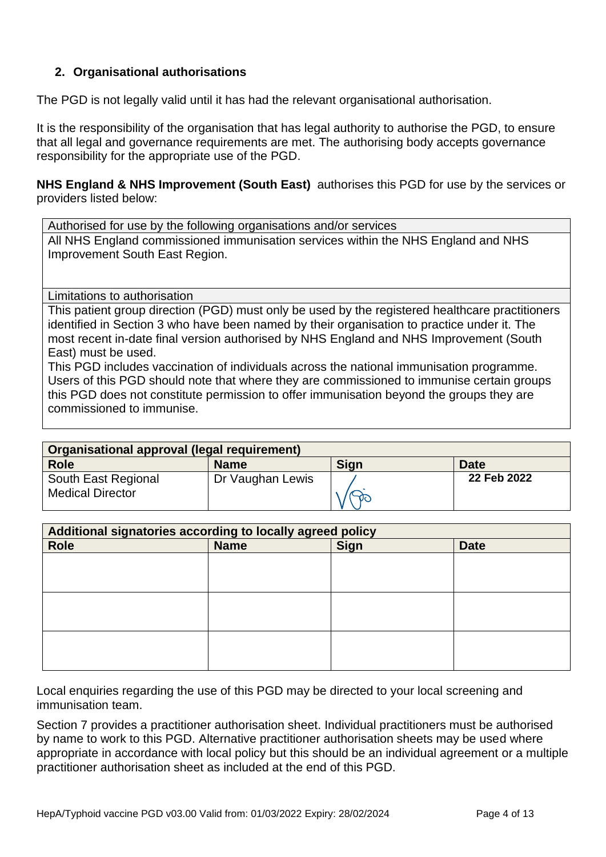### <span id="page-3-0"></span>**2. Organisational authorisations**

The PGD is not legally valid until it has had the relevant organisational authorisation.

It is the responsibility of the organisation that has legal authority to authorise the PGD, to ensure that all legal and governance requirements are met. The authorising body accepts governance responsibility for the appropriate use of the PGD.

**NHS England & NHS Improvement (South East)** authorises this PGD for use by the services or providers listed below:

Authorised for use by the following organisations and/or services

All NHS England commissioned immunisation services within the NHS England and NHS Improvement South East Region.

<span id="page-3-1"></span>Limitations to authorisation

This patient group direction (PGD) must only be used by the registered healthcare practitioners identified in Section 3 who have been named by their organisation to practice under it. The most recent in-date final version authorised by NHS England and NHS Improvement (South East) must be used.

This PGD includes vaccination of individuals across the national immunisation programme. Users of this PGD should note that where they are commissioned to immunise certain groups this PGD does not constitute permission to offer immunisation beyond the groups they are commissioned to immunise.

| Organisational approval (legal requirement)    |                  |             |             |
|------------------------------------------------|------------------|-------------|-------------|
| <b>Role</b>                                    | <b>Name</b>      | <b>Sign</b> | <b>Date</b> |
| South East Regional<br><b>Medical Director</b> | Dr Vaughan Lewis |             | 22 Feb 2022 |

| Additional signatories according to locally agreed policy |             |             |             |
|-----------------------------------------------------------|-------------|-------------|-------------|
| <b>Role</b>                                               | <b>Name</b> | <b>Sign</b> | <b>Date</b> |
|                                                           |             |             |             |
|                                                           |             |             |             |
|                                                           |             |             |             |
|                                                           |             |             |             |
|                                                           |             |             |             |
|                                                           |             |             |             |
|                                                           |             |             |             |
|                                                           |             |             |             |
|                                                           |             |             |             |

Local enquiries regarding the use of this PGD may be directed to your local screening and immunisation team.

Section 7 provides a practitioner authorisation sheet. Individual practitioners must be authorised by name to work to this PGD. Alternative practitioner authorisation sheets may be used where appropriate in accordance with local policy but this should be an individual agreement or a multiple practitioner authorisation sheet as included at the end of this PGD.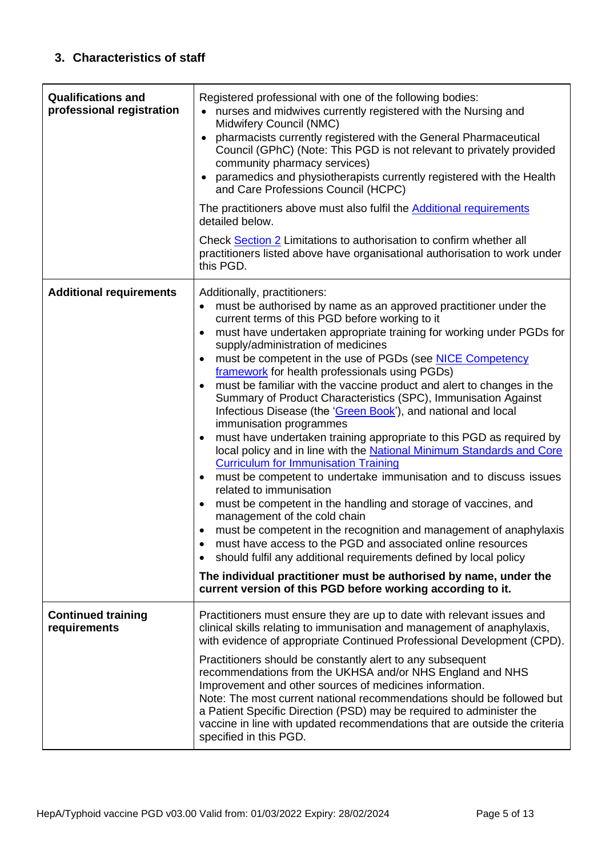<span id="page-4-1"></span><span id="page-4-0"></span>

| <b>Qualifications and</b><br>professional registration | Registered professional with one of the following bodies:<br>nurses and midwives currently registered with the Nursing and<br>Midwifery Council (NMC)<br>pharmacists currently registered with the General Pharmaceutical<br>Council (GPhC) (Note: This PGD is not relevant to privately provided<br>community pharmacy services)<br>paramedics and physiotherapists currently registered with the Health<br>and Care Professions Council (HCPC)<br>The practitioners above must also fulfil the <b>Additional requirements</b><br>detailed below.<br>Check Section 2 Limitations to authorisation to confirm whether all<br>practitioners listed above have organisational authorisation to work under<br>this PGD.                                                                                                                                                                                                                                                                                                                                                                                                                                                                                                                                                                                                                                                                                                                                 |
|--------------------------------------------------------|------------------------------------------------------------------------------------------------------------------------------------------------------------------------------------------------------------------------------------------------------------------------------------------------------------------------------------------------------------------------------------------------------------------------------------------------------------------------------------------------------------------------------------------------------------------------------------------------------------------------------------------------------------------------------------------------------------------------------------------------------------------------------------------------------------------------------------------------------------------------------------------------------------------------------------------------------------------------------------------------------------------------------------------------------------------------------------------------------------------------------------------------------------------------------------------------------------------------------------------------------------------------------------------------------------------------------------------------------------------------------------------------------------------------------------------------------|
| <b>Additional requirements</b>                         | Additionally, practitioners:<br>must be authorised by name as an approved practitioner under the<br>$\bullet$<br>current terms of this PGD before working to it<br>must have undertaken appropriate training for working under PGDs for<br>$\bullet$<br>supply/administration of medicines<br>must be competent in the use of PGDs (see NICE Competency<br>framework for health professionals using PGDs)<br>must be familiar with the vaccine product and alert to changes in the<br>$\bullet$<br>Summary of Product Characteristics (SPC), Immunisation Against<br>Infectious Disease (the 'Green Book'), and national and local<br>immunisation programmes<br>must have undertaken training appropriate to this PGD as required by<br>local policy and in line with the National Minimum Standards and Core<br><b>Curriculum for Immunisation Training</b><br>must be competent to undertake immunisation and to discuss issues<br>$\bullet$<br>related to immunisation<br>must be competent in the handling and storage of vaccines, and<br>$\bullet$<br>management of the cold chain<br>must be competent in the recognition and management of anaphylaxis<br>must have access to the PGD and associated online resources<br>should fulfil any additional requirements defined by local policy<br>$\bullet$<br>The individual practitioner must be authorised by name, under the<br>current version of this PGD before working according to it. |
| <b>Continued training</b><br>requirements              | Practitioners must ensure they are up to date with relevant issues and<br>clinical skills relating to immunisation and management of anaphylaxis,                                                                                                                                                                                                                                                                                                                                                                                                                                                                                                                                                                                                                                                                                                                                                                                                                                                                                                                                                                                                                                                                                                                                                                                                                                                                                                    |
|                                                        | with evidence of appropriate Continued Professional Development (CPD).                                                                                                                                                                                                                                                                                                                                                                                                                                                                                                                                                                                                                                                                                                                                                                                                                                                                                                                                                                                                                                                                                                                                                                                                                                                                                                                                                                               |
|                                                        | Practitioners should be constantly alert to any subsequent<br>recommendations from the UKHSA and/or NHS England and NHS<br>Improvement and other sources of medicines information.<br>Note: The most current national recommendations should be followed but<br>a Patient Specific Direction (PSD) may be required to administer the<br>vaccine in line with updated recommendations that are outside the criteria<br>specified in this PGD.                                                                                                                                                                                                                                                                                                                                                                                                                                                                                                                                                                                                                                                                                                                                                                                                                                                                                                                                                                                                         |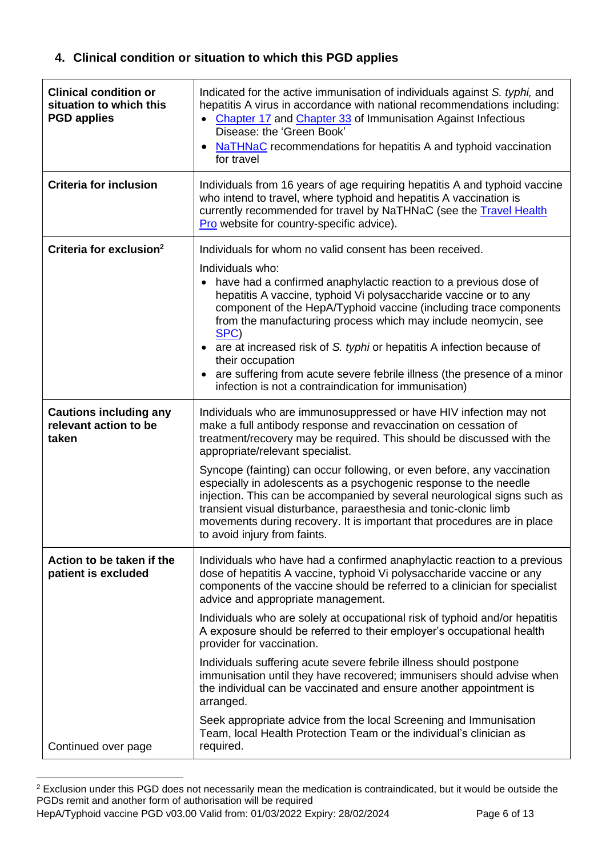## **4. Clinical condition or situation to which this PGD applies**

| <b>Clinical condition or</b><br>situation to which this<br><b>PGD applies</b> | Indicated for the active immunisation of individuals against S. typhi, and<br>hepatitis A virus in accordance with national recommendations including:<br>Chapter 17 and Chapter 33 of Immunisation Against Infectious<br>$\bullet$<br>Disease: the 'Green Book'<br>NaTHNaC recommendations for hepatitis A and typhoid vaccination<br>for travel                                                                                                                                                                                                                                                                                                                                                                                                                                                                                        |
|-------------------------------------------------------------------------------|------------------------------------------------------------------------------------------------------------------------------------------------------------------------------------------------------------------------------------------------------------------------------------------------------------------------------------------------------------------------------------------------------------------------------------------------------------------------------------------------------------------------------------------------------------------------------------------------------------------------------------------------------------------------------------------------------------------------------------------------------------------------------------------------------------------------------------------|
| <b>Criteria for inclusion</b>                                                 | Individuals from 16 years of age requiring hepatitis A and typhoid vaccine<br>who intend to travel, where typhoid and hepatitis A vaccination is<br>currently recommended for travel by NaTHNaC (see the Travel Health<br>Pro website for country-specific advice).                                                                                                                                                                                                                                                                                                                                                                                                                                                                                                                                                                      |
| Criteria for exclusion <sup>2</sup>                                           | Individuals for whom no valid consent has been received.<br>Individuals who:<br>have had a confirmed anaphylactic reaction to a previous dose of<br>hepatitis A vaccine, typhoid Vi polysaccharide vaccine or to any<br>component of the HepA/Typhoid vaccine (including trace components<br>from the manufacturing process which may include neomycin, see<br>SPC)<br>• are at increased risk of S. typhi or hepatitis A infection because of<br>their occupation<br>are suffering from acute severe febrile illness (the presence of a minor<br>infection is not a contraindication for immunisation)                                                                                                                                                                                                                                  |
| <b>Cautions including any</b><br>relevant action to be<br>taken               | Individuals who are immunosuppressed or have HIV infection may not<br>make a full antibody response and revaccination on cessation of<br>treatment/recovery may be required. This should be discussed with the<br>appropriate/relevant specialist.<br>Syncope (fainting) can occur following, or even before, any vaccination<br>especially in adolescents as a psychogenic response to the needle<br>injection. This can be accompanied by several neurological signs such as<br>transient visual disturbance, paraesthesia and tonic-clonic limb<br>movements during recovery. It is important that procedures are in place<br>to avoid injury from faints.                                                                                                                                                                            |
| Action to be taken if the<br>patient is excluded                              | Individuals who have had a confirmed anaphylactic reaction to a previous<br>dose of hepatitis A vaccine, typhoid Vi polysaccharide vaccine or any<br>components of the vaccine should be referred to a clinician for specialist<br>advice and appropriate management.<br>Individuals who are solely at occupational risk of typhoid and/or hepatitis<br>A exposure should be referred to their employer's occupational health<br>provider for vaccination.<br>Individuals suffering acute severe febrile illness should postpone<br>immunisation until they have recovered; immunisers should advise when<br>the individual can be vaccinated and ensure another appointment is<br>arranged.<br>Seek appropriate advice from the local Screening and Immunisation<br>Team, local Health Protection Team or the individual's clinician as |
| Continued over page                                                           | required.                                                                                                                                                                                                                                                                                                                                                                                                                                                                                                                                                                                                                                                                                                                                                                                                                                |

HepA/Typhoid vaccine PGD v03.00 Valid from: 01/03/2022 Expiry: 28/02/2024 Page 6 of 13 <sup>2</sup> Exclusion under this PGD does not necessarily mean the medication is contraindicated, but it would be outside the PGDs remit and another form of authorisation will be required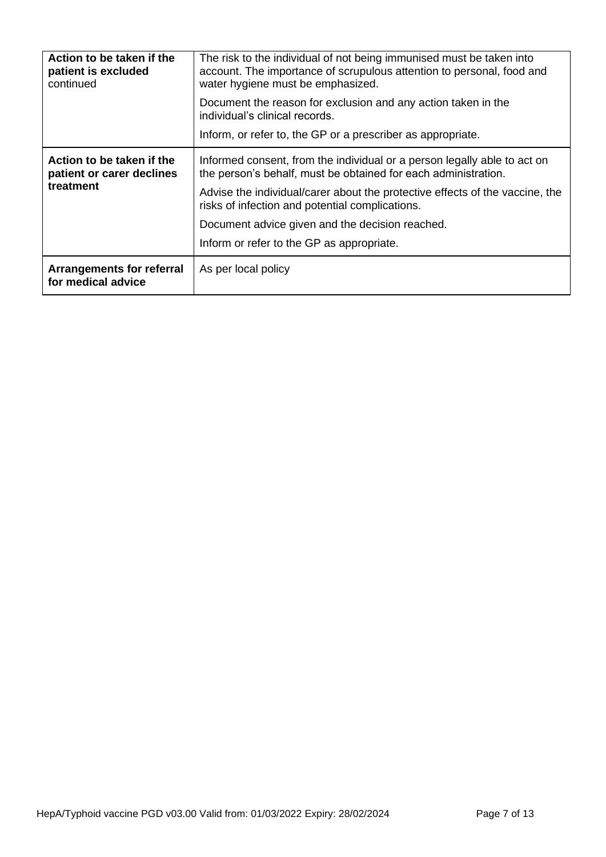| Action to be taken if the<br>patient is excluded<br>continued       | The risk to the individual of not being immunised must be taken into<br>account. The importance of scrupulous attention to personal, food and<br>water hygiene must be emphasized.<br>Document the reason for exclusion and any action taken in the<br>individual's clinical records.<br>Inform, or refer to, the GP or a prescriber as appropriate.                          |
|---------------------------------------------------------------------|-------------------------------------------------------------------------------------------------------------------------------------------------------------------------------------------------------------------------------------------------------------------------------------------------------------------------------------------------------------------------------|
| Action to be taken if the<br>patient or carer declines<br>treatment | Informed consent, from the individual or a person legally able to act on<br>the person's behalf, must be obtained for each administration.<br>Advise the individual/carer about the protective effects of the vaccine, the<br>risks of infection and potential complications.<br>Document advice given and the decision reached.<br>Inform or refer to the GP as appropriate. |
| <b>Arrangements for referral</b><br>for medical advice              | As per local policy                                                                                                                                                                                                                                                                                                                                                           |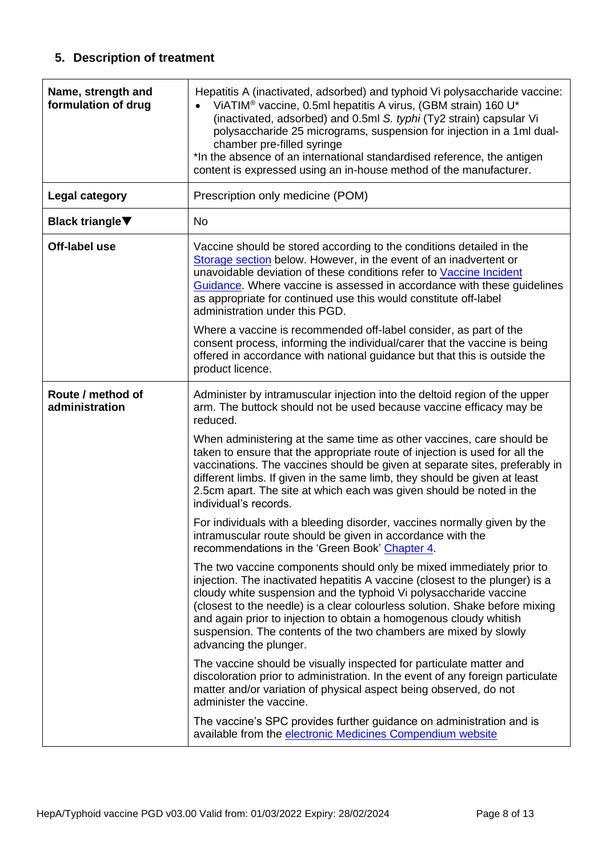# **5. Description of treatment**

<span id="page-7-0"></span>

| Name, strength and<br>formulation of drug | Hepatitis A (inactivated, adsorbed) and typhoid Vi polysaccharide vaccine:<br>VIATIM <sup>®</sup> vaccine, 0.5ml hepatitis A virus, (GBM strain) 160 U*<br>(inactivated, adsorbed) and 0.5ml S. typhi (Ty2 strain) capsular Vi<br>polysaccharide 25 micrograms, suspension for injection in a 1ml dual-<br>chamber pre-filled syringe<br>*In the absence of an international standardised reference, the antigen<br>content is expressed using an in-house method of the manufacturer.                                                                                                                                                                                                                                                                                                                                                                                                                                                 |
|-------------------------------------------|----------------------------------------------------------------------------------------------------------------------------------------------------------------------------------------------------------------------------------------------------------------------------------------------------------------------------------------------------------------------------------------------------------------------------------------------------------------------------------------------------------------------------------------------------------------------------------------------------------------------------------------------------------------------------------------------------------------------------------------------------------------------------------------------------------------------------------------------------------------------------------------------------------------------------------------|
| <b>Legal category</b>                     | Prescription only medicine (POM)                                                                                                                                                                                                                                                                                                                                                                                                                                                                                                                                                                                                                                                                                                                                                                                                                                                                                                       |
| <b>Black triangle</b> ▼                   | <b>No</b>                                                                                                                                                                                                                                                                                                                                                                                                                                                                                                                                                                                                                                                                                                                                                                                                                                                                                                                              |
| Off-label use                             | Vaccine should be stored according to the conditions detailed in the<br>Storage section below. However, in the event of an inadvertent or<br>unavoidable deviation of these conditions refer to Vaccine Incident<br>Guidance. Where vaccine is assessed in accordance with these guidelines<br>as appropriate for continued use this would constitute off-label<br>administration under this PGD.                                                                                                                                                                                                                                                                                                                                                                                                                                                                                                                                      |
|                                           | Where a vaccine is recommended off-label consider, as part of the<br>consent process, informing the individual/carer that the vaccine is being<br>offered in accordance with national guidance but that this is outside the<br>product licence.                                                                                                                                                                                                                                                                                                                                                                                                                                                                                                                                                                                                                                                                                        |
| Route / method of<br>administration       | Administer by intramuscular injection into the deltoid region of the upper<br>arm. The buttock should not be used because vaccine efficacy may be<br>reduced.<br>When administering at the same time as other vaccines, care should be<br>taken to ensure that the appropriate route of injection is used for all the<br>vaccinations. The vaccines should be given at separate sites, preferably in<br>different limbs. If given in the same limb, they should be given at least<br>2.5cm apart. The site at which each was given should be noted in the<br>individual's records.<br>For individuals with a bleeding disorder, vaccines normally given by the<br>intramuscular route should be given in accordance with the<br>recommendations in the 'Green Book' Chapter 4.<br>The two vaccine components should only be mixed immediately prior to<br>injection. The inactivated hepatitis A vaccine (closest to the plunger) is a |
|                                           | cloudy white suspension and the typhoid Vi polysaccharide vaccine<br>(closest to the needle) is a clear colourless solution. Shake before mixing<br>and again prior to injection to obtain a homogenous cloudy whitish<br>suspension. The contents of the two chambers are mixed by slowly<br>advancing the plunger.<br>The vaccine should be visually inspected for particulate matter and<br>discoloration prior to administration. In the event of any foreign particulate<br>matter and/or variation of physical aspect being observed, do not<br>administer the vaccine.<br>The vaccine's SPC provides further guidance on administration and is<br>available from the electronic Medicines Compendium website                                                                                                                                                                                                                    |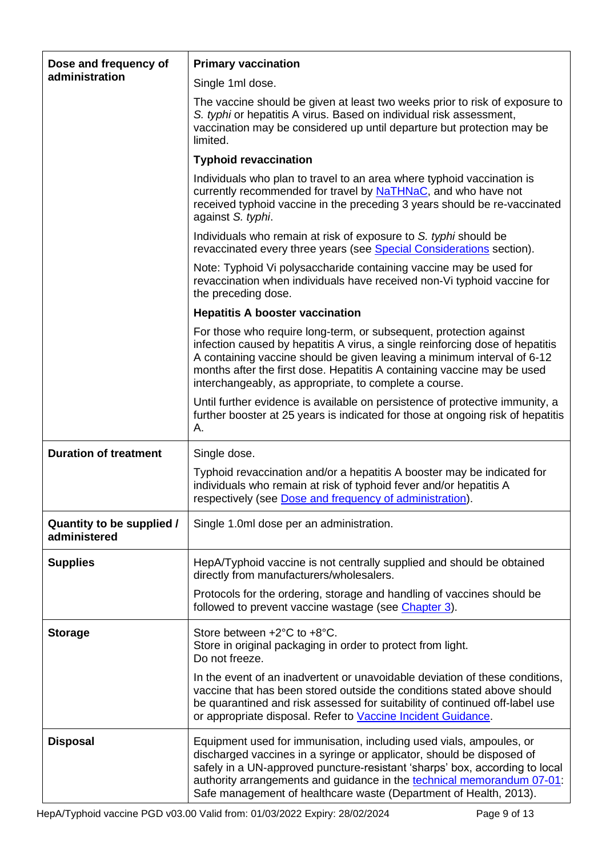<span id="page-8-0"></span>

| Dose and frequency of<br>administration   | <b>Primary vaccination</b>                                                                                                                                                                                                                                                                                                                                                 |
|-------------------------------------------|----------------------------------------------------------------------------------------------------------------------------------------------------------------------------------------------------------------------------------------------------------------------------------------------------------------------------------------------------------------------------|
|                                           | Single 1ml dose.                                                                                                                                                                                                                                                                                                                                                           |
|                                           | The vaccine should be given at least two weeks prior to risk of exposure to<br>S. typhi or hepatitis A virus. Based on individual risk assessment,<br>vaccination may be considered up until departure but protection may be<br>limited.                                                                                                                                   |
|                                           | <b>Typhoid revaccination</b>                                                                                                                                                                                                                                                                                                                                               |
|                                           | Individuals who plan to travel to an area where typhoid vaccination is<br>currently recommended for travel by <b>NaTHNaC</b> , and who have not<br>received typhoid vaccine in the preceding 3 years should be re-vaccinated<br>against S. typhi.                                                                                                                          |
|                                           | Individuals who remain at risk of exposure to S. typhi should be<br>revaccinated every three years (see Special Considerations section).                                                                                                                                                                                                                                   |
|                                           | Note: Typhoid Vi polysaccharide containing vaccine may be used for<br>revaccination when individuals have received non-Vi typhoid vaccine for<br>the preceding dose.                                                                                                                                                                                                       |
|                                           | <b>Hepatitis A booster vaccination</b>                                                                                                                                                                                                                                                                                                                                     |
|                                           | For those who require long-term, or subsequent, protection against<br>infection caused by hepatitis A virus, a single reinforcing dose of hepatitis<br>A containing vaccine should be given leaving a minimum interval of 6-12<br>months after the first dose. Hepatitis A containing vaccine may be used<br>interchangeably, as appropriate, to complete a course.        |
|                                           | Until further evidence is available on persistence of protective immunity, a<br>further booster at 25 years is indicated for those at ongoing risk of hepatitis<br>А.                                                                                                                                                                                                      |
| <b>Duration of treatment</b>              | Single dose.                                                                                                                                                                                                                                                                                                                                                               |
|                                           | Typhoid revaccination and/or a hepatitis A booster may be indicated for<br>individuals who remain at risk of typhoid fever and/or hepatitis A<br>respectively (see Dose and frequency of administration).                                                                                                                                                                  |
| Quantity to be supplied /<br>administered | Single 1.0ml dose per an administration.                                                                                                                                                                                                                                                                                                                                   |
| <b>Supplies</b>                           | HepA/Typhoid vaccine is not centrally supplied and should be obtained<br>directly from manufacturers/wholesalers.                                                                                                                                                                                                                                                          |
|                                           | Protocols for the ordering, storage and handling of vaccines should be<br>followed to prevent vaccine wastage (see Chapter 3).                                                                                                                                                                                                                                             |
| <b>Storage</b>                            | Store between +2°C to +8°C.<br>Store in original packaging in order to protect from light.<br>Do not freeze.                                                                                                                                                                                                                                                               |
|                                           | In the event of an inadvertent or unavoidable deviation of these conditions,<br>vaccine that has been stored outside the conditions stated above should<br>be quarantined and risk assessed for suitability of continued off-label use<br>or appropriate disposal. Refer to Vaccine Incident Guidance.                                                                     |
| <b>Disposal</b>                           | Equipment used for immunisation, including used vials, ampoules, or<br>discharged vaccines in a syringe or applicator, should be disposed of<br>safely in a UN-approved puncture-resistant 'sharps' box, according to local<br>authority arrangements and guidance in the technical memorandum 07-01:<br>Safe management of healthcare waste (Department of Health, 2013). |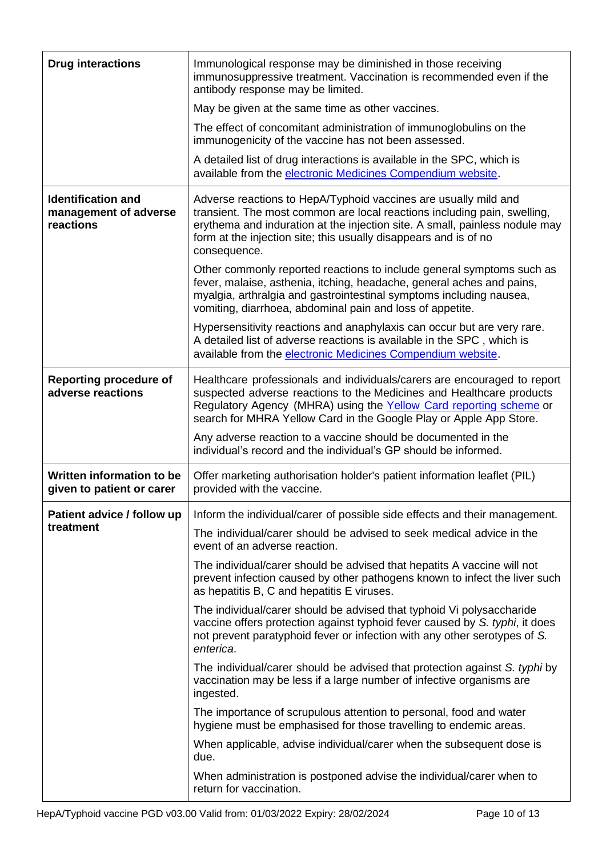| <b>Drug interactions</b>                                        | Immunological response may be diminished in those receiving<br>immunosuppressive treatment. Vaccination is recommended even if the<br>antibody response may be limited.                                                                                                                                        |
|-----------------------------------------------------------------|----------------------------------------------------------------------------------------------------------------------------------------------------------------------------------------------------------------------------------------------------------------------------------------------------------------|
|                                                                 | May be given at the same time as other vaccines.                                                                                                                                                                                                                                                               |
|                                                                 | The effect of concomitant administration of immunoglobulins on the<br>immunogenicity of the vaccine has not been assessed.                                                                                                                                                                                     |
|                                                                 | A detailed list of drug interactions is available in the SPC, which is<br>available from the electronic Medicines Compendium website.                                                                                                                                                                          |
| <b>Identification and</b><br>management of adverse<br>reactions | Adverse reactions to HepA/Typhoid vaccines are usually mild and<br>transient. The most common are local reactions including pain, swelling,<br>erythema and induration at the injection site. A small, painless nodule may<br>form at the injection site; this usually disappears and is of no<br>consequence. |
|                                                                 | Other commonly reported reactions to include general symptoms such as<br>fever, malaise, asthenia, itching, headache, general aches and pains,<br>myalgia, arthralgia and gastrointestinal symptoms including nausea,<br>vomiting, diarrhoea, abdominal pain and loss of appetite.                             |
|                                                                 | Hypersensitivity reactions and anaphylaxis can occur but are very rare.<br>A detailed list of adverse reactions is available in the SPC, which is<br>available from the electronic Medicines Compendium website.                                                                                               |
| <b>Reporting procedure of</b><br>adverse reactions              | Healthcare professionals and individuals/carers are encouraged to report<br>suspected adverse reactions to the Medicines and Healthcare products<br>Regulatory Agency (MHRA) using the Yellow Card reporting scheme or<br>search for MHRA Yellow Card in the Google Play or Apple App Store.                   |
|                                                                 | Any adverse reaction to a vaccine should be documented in the<br>individual's record and the individual's GP should be informed.                                                                                                                                                                               |
| Written information to be<br>given to patient or carer          | Offer marketing authorisation holder's patient information leaflet (PIL)<br>provided with the vaccine.                                                                                                                                                                                                         |
| Patient advice / follow up                                      | Inform the individual/carer of possible side effects and their management.                                                                                                                                                                                                                                     |
| treatment                                                       | The individual/carer should be advised to seek medical advice in the<br>event of an adverse reaction.                                                                                                                                                                                                          |
|                                                                 | The individual/carer should be advised that hepatits A vaccine will not<br>prevent infection caused by other pathogens known to infect the liver such<br>as hepatitis B, C and hepatitis E viruses.                                                                                                            |
|                                                                 | The individual/carer should be advised that typhoid Vi polysaccharide<br>vaccine offers protection against typhoid fever caused by S. typhi, it does<br>not prevent paratyphoid fever or infection with any other serotypes of S.<br>enterica.                                                                 |
|                                                                 | The individual/carer should be advised that protection against S. typhi by<br>vaccination may be less if a large number of infective organisms are<br>ingested.                                                                                                                                                |
|                                                                 | The importance of scrupulous attention to personal, food and water<br>hygiene must be emphasised for those travelling to endemic areas.                                                                                                                                                                        |
|                                                                 | When applicable, advise individual/carer when the subsequent dose is<br>due.                                                                                                                                                                                                                                   |
|                                                                 | When administration is postponed advise the individual/carer when to<br>return for vaccination.                                                                                                                                                                                                                |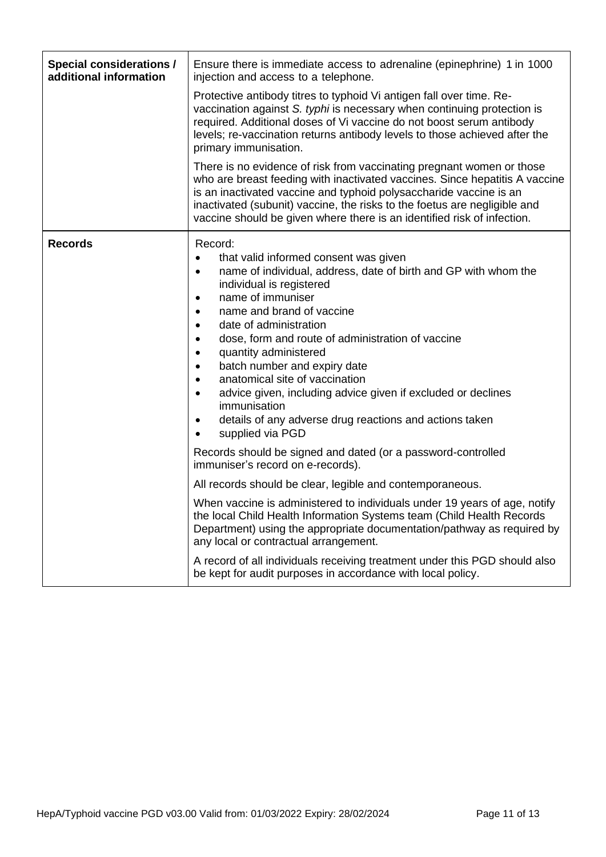<span id="page-10-0"></span>

| <b>Special considerations /</b><br>additional information | Ensure there is immediate access to adrenaline (epinephrine) 1 in 1000<br>injection and access to a telephone.                                                                                                                                                                                                                                                                                                                                                                                                                                                                                                                                                                                                                                                                                                                                                                                                                                                                                                                                                                                   |  |  |  |
|-----------------------------------------------------------|--------------------------------------------------------------------------------------------------------------------------------------------------------------------------------------------------------------------------------------------------------------------------------------------------------------------------------------------------------------------------------------------------------------------------------------------------------------------------------------------------------------------------------------------------------------------------------------------------------------------------------------------------------------------------------------------------------------------------------------------------------------------------------------------------------------------------------------------------------------------------------------------------------------------------------------------------------------------------------------------------------------------------------------------------------------------------------------------------|--|--|--|
|                                                           | Protective antibody titres to typhoid Vi antigen fall over time. Re-<br>vaccination against S. typhi is necessary when continuing protection is<br>required. Additional doses of Vi vaccine do not boost serum antibody<br>levels; re-vaccination returns antibody levels to those achieved after the<br>primary immunisation.                                                                                                                                                                                                                                                                                                                                                                                                                                                                                                                                                                                                                                                                                                                                                                   |  |  |  |
|                                                           | There is no evidence of risk from vaccinating pregnant women or those<br>who are breast feeding with inactivated vaccines. Since hepatitis A vaccine<br>is an inactivated vaccine and typhoid polysaccharide vaccine is an<br>inactivated (subunit) vaccine, the risks to the foetus are negligible and<br>vaccine should be given where there is an identified risk of infection.                                                                                                                                                                                                                                                                                                                                                                                                                                                                                                                                                                                                                                                                                                               |  |  |  |
| <b>Records</b>                                            | Record:<br>that valid informed consent was given<br>٠<br>name of individual, address, date of birth and GP with whom the<br>$\bullet$<br>individual is registered<br>name of immuniser<br>$\bullet$<br>name and brand of vaccine<br>$\bullet$<br>date of administration<br>$\bullet$<br>dose, form and route of administration of vaccine<br>$\bullet$<br>quantity administered<br>$\bullet$<br>batch number and expiry date<br>$\bullet$<br>anatomical site of vaccination<br>$\bullet$<br>advice given, including advice given if excluded or declines<br>$\bullet$<br>immunisation<br>details of any adverse drug reactions and actions taken<br>$\bullet$<br>supplied via PGD<br>$\bullet$<br>Records should be signed and dated (or a password-controlled<br>immuniser's record on e-records).<br>All records should be clear, legible and contemporaneous.<br>When vaccine is administered to individuals under 19 years of age, notify<br>the local Child Health Information Systems team (Child Health Records<br>Department) using the appropriate documentation/pathway as required by |  |  |  |
|                                                           | any local or contractual arrangement.<br>A record of all individuals receiving treatment under this PGD should also<br>be kept for audit purposes in accordance with local policy.                                                                                                                                                                                                                                                                                                                                                                                                                                                                                                                                                                                                                                                                                                                                                                                                                                                                                                               |  |  |  |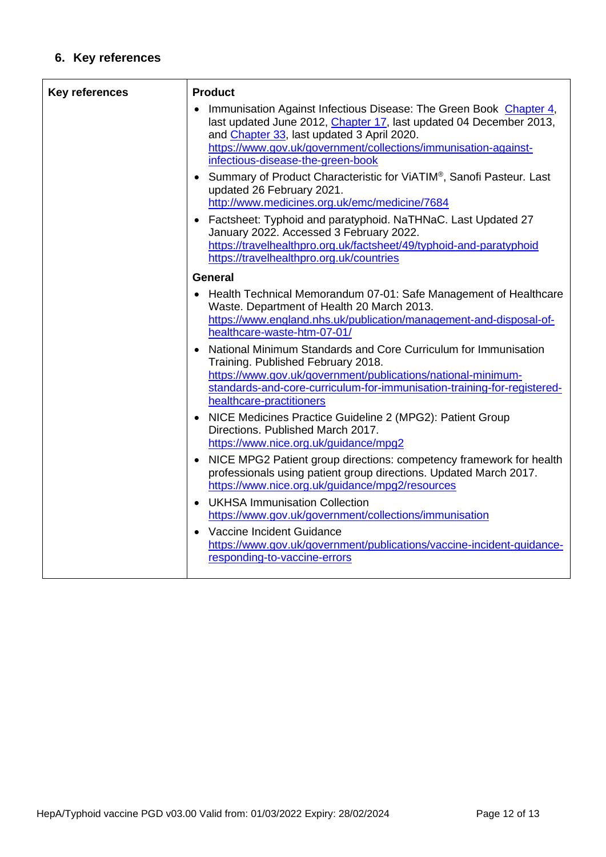# **6. Key references**

| <b>Key references</b> | <b>Product</b>                                                                                                                                                                                                                                                                                 |
|-----------------------|------------------------------------------------------------------------------------------------------------------------------------------------------------------------------------------------------------------------------------------------------------------------------------------------|
|                       | Immunisation Against Infectious Disease: The Green Book Chapter 4,<br>last updated June 2012, Chapter 17, last updated 04 December 2013,<br>and Chapter 33, last updated 3 April 2020.<br>https://www.gov.uk/government/collections/immunisation-against-<br>infectious-disease-the-green-book |
|                       | • Summary of Product Characteristic for ViATIM <sup>®</sup> , Sanofi Pasteur. Last<br>updated 26 February 2021.<br>http://www.medicines.org.uk/emc/medicine/7684                                                                                                                               |
|                       | Factsheet: Typhoid and paratyphoid. NaTHNaC. Last Updated 27<br>January 2022. Accessed 3 February 2022.<br>https://travelhealthpro.org.uk/factsheet/49/typhoid-and-paratyphoid                                                                                                                 |
|                       | https://travelhealthpro.org.uk/countries                                                                                                                                                                                                                                                       |
|                       | <b>General</b><br>Health Technical Memorandum 07-01: Safe Management of Healthcare<br>Waste. Department of Health 20 March 2013.<br>https://www.england.nhs.uk/publication/management-and-disposal-of-<br>healthcare-waste-htm-07-01/                                                          |
|                       | National Minimum Standards and Core Curriculum for Immunisation<br>Training. Published February 2018.<br>https://www.gov.uk/government/publications/national-minimum-<br>standards-and-core-curriculum-for-immunisation-training-for-registered-<br>healthcare-practitioners                   |
|                       | NICE Medicines Practice Guideline 2 (MPG2): Patient Group<br>Directions. Published March 2017.<br>https://www.nice.org.uk/guidance/mpg2                                                                                                                                                        |
|                       | NICE MPG2 Patient group directions: competency framework for health<br>professionals using patient group directions. Updated March 2017.<br>https://www.nice.org.uk/guidance/mpg2/resources                                                                                                    |
|                       | <b>UKHSA Immunisation Collection</b><br>https://www.gov.uk/government/collections/immunisation                                                                                                                                                                                                 |
|                       | Vaccine Incident Guidance<br>https://www.gov.uk/government/publications/vaccine-incident-guidance-<br>responding-to-vaccine-errors                                                                                                                                                             |